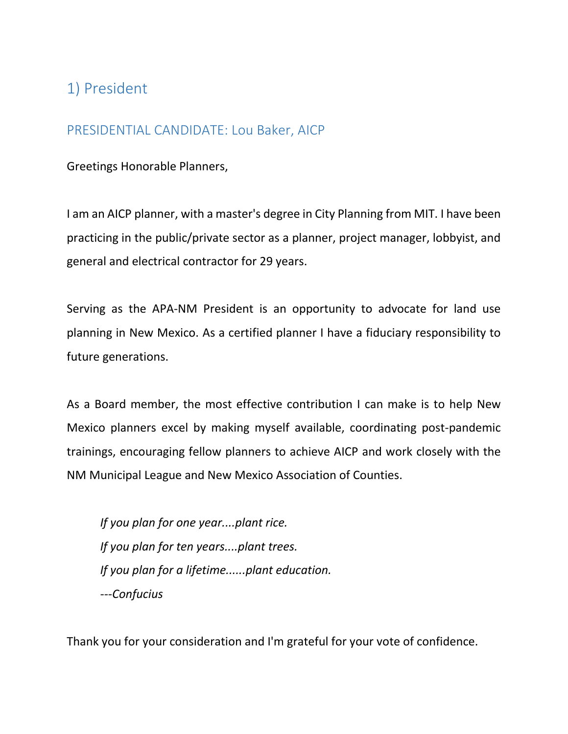# 1) President

#### PRESIDENTIAL CANDIDATE: Lou Baker, AICP

Greetings Honorable Planners,

I am an AICP planner, with a master's degree in City Planning from MIT. I have been practicing in the public/private sector as a planner, project manager, lobbyist, and general and electrical contractor for 29 years.

Serving as the APA-NM President is an opportunity to advocate for land use planning in New Mexico. As a certified planner I have a fiduciary responsibility to future generations.

As a Board member, the most effective contribution I can make is to help New Mexico planners excel by making myself available, coordinating post-pandemic trainings, encouraging fellow planners to achieve AICP and work closely with the NM Municipal League and New Mexico Association of Counties.

*If you plan for one year....plant rice. If you plan for ten years....plant trees. If you plan for a lifetime......plant education. ---Confucius*

Thank you for your consideration and I'm grateful for your vote of confidence.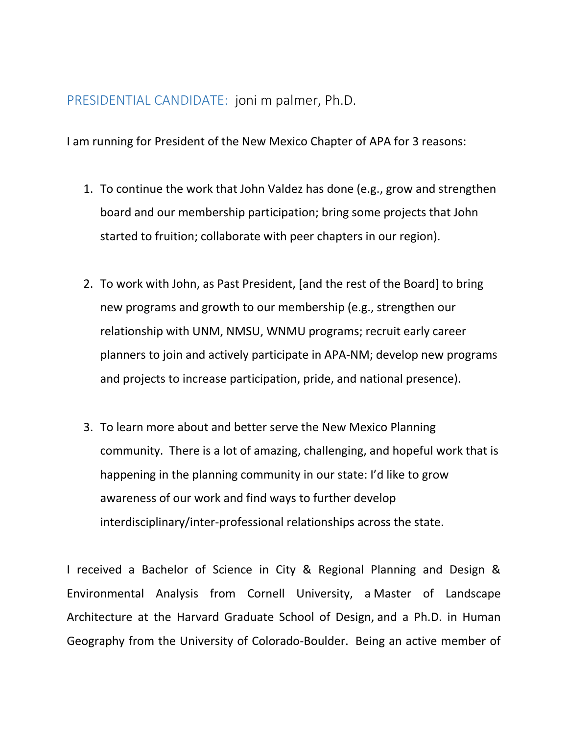#### PRESIDENTIAL CANDIDATE: joni m palmer, Ph.D.

I am running for President of the New Mexico Chapter of APA for 3 reasons:

- 1. To continue the work that John Valdez has done (e.g., grow and strengthen board and our membership participation; bring some projects that John started to fruition; collaborate with peer chapters in our region).
- 2. To work with John, as Past President, [and the rest of the Board] to bring new programs and growth to our membership (e.g., strengthen our relationship with UNM, NMSU, WNMU programs; recruit early career planners to join and actively participate in APA-NM; develop new programs and projects to increase participation, pride, and national presence).
- 3. To learn more about and better serve the New Mexico Planning community. There is a lot of amazing, challenging, and hopeful work that is happening in the planning community in our state: I'd like to grow awareness of our work and find ways to further develop interdisciplinary/inter-professional relationships across the state.

I received a Bachelor of Science in City & Regional Planning and Design & Environmental Analysis from Cornell University, a Master of Landscape Architecture at the Harvard Graduate School of Design, and a Ph.D. in Human Geography from the University of Colorado-Boulder. Being an active member of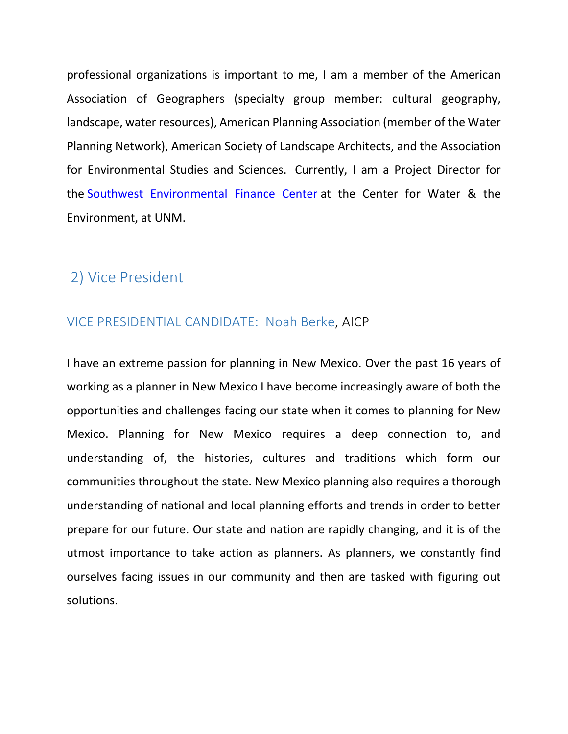professional organizations is important to me, I am a member of the American Association of Geographers (specialty group member: cultural geography, landscape, water resources), American Planning Association (member of the Water Planning Network), American Society of Landscape Architects, and the Association for Environmental Studies and Sciences. Currently, I am a Project Director for the [Southwest Environmental Finance Center](https://swefc.unm.edu/home/) at the Center for Water & the Environment, at UNM.

## 2) Vice President

### VICE PRESIDENTIAL CANDIDATE: Noah Berke, AICP

I have an extreme passion for planning in New Mexico. Over the past 16 years of working as a planner in New Mexico I have become increasingly aware of both the opportunities and challenges facing our state when it comes to planning for New Mexico. Planning for New Mexico requires a deep connection to, and understanding of, the histories, cultures and traditions which form our communities throughout the state. New Mexico planning also requires a thorough understanding of national and local planning efforts and trends in order to better prepare for our future. Our state and nation are rapidly changing, and it is of the utmost importance to take action as planners. As planners, we constantly find ourselves facing issues in our community and then are tasked with figuring out solutions.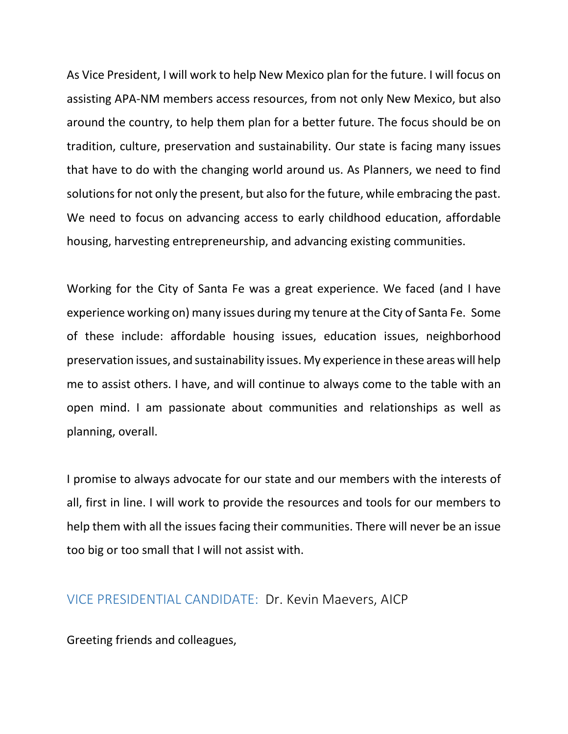As Vice President, I will work to help New Mexico plan for the future. I will focus on assisting APA-NM members access resources, from not only New Mexico, but also around the country, to help them plan for a better future. The focus should be on tradition, culture, preservation and sustainability. Our state is facing many issues that have to do with the changing world around us. As Planners, we need to find solutions for not only the present, but also for the future, while embracing the past. We need to focus on advancing access to early childhood education, affordable housing, harvesting entrepreneurship, and advancing existing communities.

Working for the City of Santa Fe was a great experience. We faced (and I have experience working on) many issues during my tenure at the City of Santa Fe. Some of these include: affordable housing issues, education issues, neighborhood preservation issues, and sustainability issues. My experience in these areas will help me to assist others. I have, and will continue to always come to the table with an open mind. I am passionate about communities and relationships as well as planning, overall.

I promise to always advocate for our state and our members with the interests of all, first in line. I will work to provide the resources and tools for our members to help them with all the issues facing their communities. There will never be an issue too big or too small that I will not assist with.

#### VICE PRESIDENTIAL CANDIDATE: Dr. Kevin Maevers, AICP

Greeting friends and colleagues,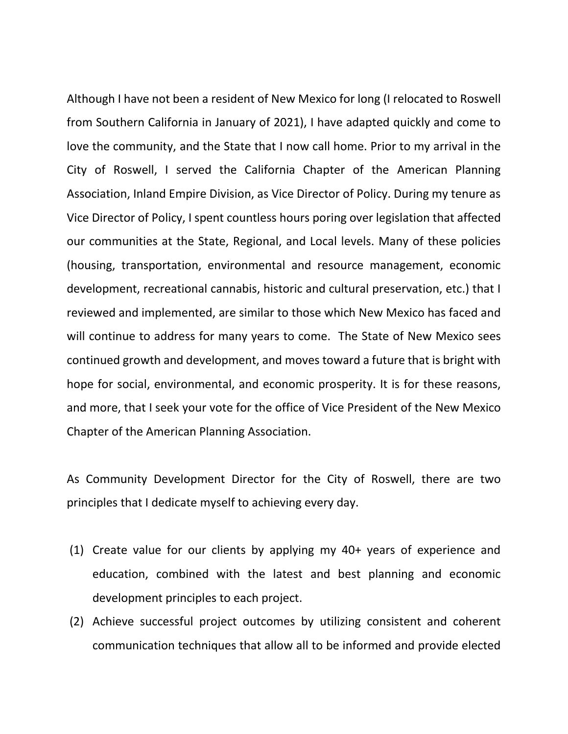Although I have not been a resident of New Mexico for long (I relocated to Roswell from Southern California in January of 2021), I have adapted quickly and come to love the community, and the State that I now call home. Prior to my arrival in the City of Roswell, I served the California Chapter of the American Planning Association, Inland Empire Division, as Vice Director of Policy. During my tenure as Vice Director of Policy, I spent countless hours poring over legislation that affected our communities at the State, Regional, and Local levels. Many of these policies (housing, transportation, environmental and resource management, economic development, recreational cannabis, historic and cultural preservation, etc.) that I reviewed and implemented, are similar to those which New Mexico has faced and will continue to address for many years to come. The State of New Mexico sees continued growth and development, and moves toward a future that is bright with hope for social, environmental, and economic prosperity. It is for these reasons, and more, that I seek your vote for the office of Vice President of the New Mexico Chapter of the American Planning Association.

As Community Development Director for the City of Roswell, there are two principles that I dedicate myself to achieving every day.

- (1) Create value for our clients by applying my 40+ years of experience and education, combined with the latest and best planning and economic development principles to each project.
- (2) Achieve successful project outcomes by utilizing consistent and coherent communication techniques that allow all to be informed and provide elected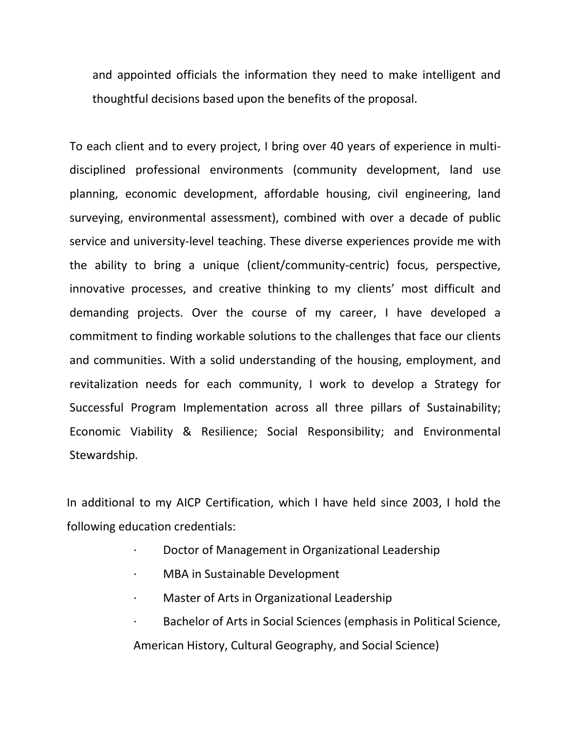and appointed officials the information they need to make intelligent and thoughtful decisions based upon the benefits of the proposal.

To each client and to every project, I bring over 40 years of experience in multidisciplined professional environments (community development, land use planning, economic development, affordable housing, civil engineering, land surveying, environmental assessment), combined with over a decade of public service and university-level teaching. These diverse experiences provide me with the ability to bring a unique (client/community-centric) focus, perspective, innovative processes, and creative thinking to my clients' most difficult and demanding projects. Over the course of my career, I have developed a commitment to finding workable solutions to the challenges that face our clients and communities. With a solid understanding of the housing, employment, and revitalization needs for each community, I work to develop a Strategy for Successful Program Implementation across all three pillars of Sustainability; Economic Viability & Resilience; Social Responsibility; and Environmental Stewardship.

In additional to my AICP Certification, which I have held since 2003, I hold the following education credentials:

- · Doctor of Management in Organizational Leadership
- · MBA in Sustainable Development
- Master of Arts in Organizational Leadership
- Bachelor of Arts in Social Sciences (emphasis in Political Science, American History, Cultural Geography, and Social Science)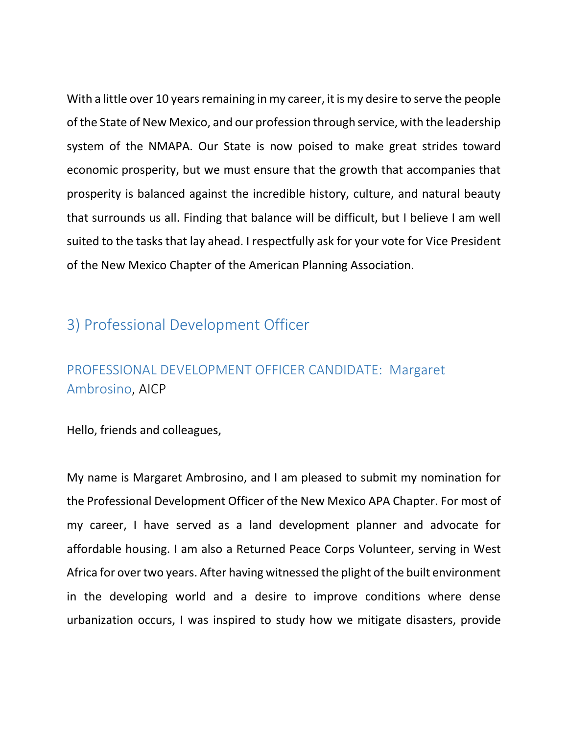With a little over 10 years remaining in my career, it is my desire to serve the people of the State of New Mexico, and our profession through service, with the leadership system of the NMAPA. Our State is now poised to make great strides toward economic prosperity, but we must ensure that the growth that accompanies that prosperity is balanced against the incredible history, culture, and natural beauty that surrounds us all. Finding that balance will be difficult, but I believe I am well suited to the tasks that lay ahead. I respectfully ask for your vote for Vice President of the New Mexico Chapter of the American Planning Association.

# 3) Professional Development Officer

# PROFESSIONAL DEVELOPMENT OFFICER CANDIDATE: Margaret Ambrosino, AICP

Hello, friends and colleagues,

My name is Margaret Ambrosino, and I am pleased to submit my nomination for the Professional Development Officer of the New Mexico APA Chapter. For most of my career, I have served as a land development planner and advocate for affordable housing. I am also a Returned Peace Corps Volunteer, serving in West Africa for over two years. After having witnessed the plight of the built environment in the developing world and a desire to improve conditions where dense urbanization occurs, I was inspired to study how we mitigate disasters, provide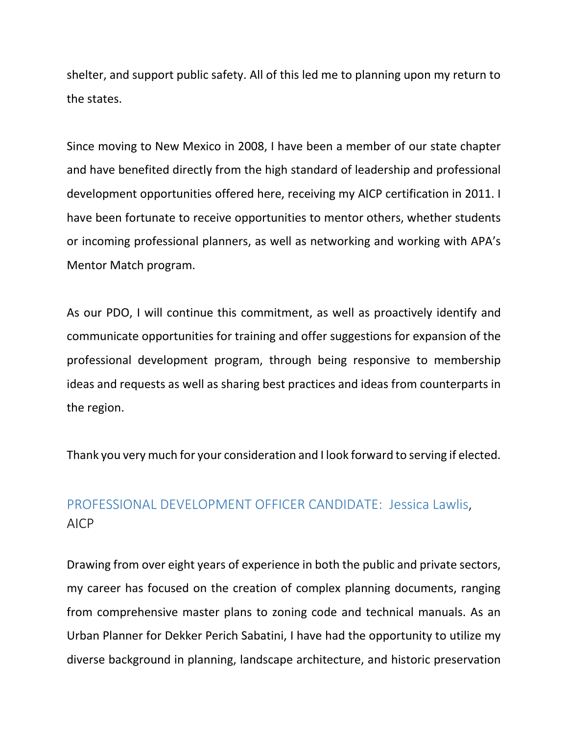shelter, and support public safety. All of this led me to planning upon my return to the states.

Since moving to New Mexico in 2008, I have been a member of our state chapter and have benefited directly from the high standard of leadership and professional development opportunities offered here, receiving my AICP certification in 2011. I have been fortunate to receive opportunities to mentor others, whether students or incoming professional planners, as well as networking and working with APA's Mentor Match program.

As our PDO, I will continue this commitment, as well as proactively identify and communicate opportunities for training and offer suggestions for expansion of the professional development program, through being responsive to membership ideas and requests as well as sharing best practices and ideas from counterparts in the region.

Thank you very much for your consideration and I look forward to serving if elected.

## PROFESSIONAL DEVELOPMENT OFFICER CANDIDATE: Jessica Lawlis, AICP

Drawing from over eight years of experience in both the public and private sectors, my career has focused on the creation of complex planning documents, ranging from comprehensive master plans to zoning code and technical manuals. As an Urban Planner for Dekker Perich Sabatini, I have had the opportunity to utilize my diverse background in planning, landscape architecture, and historic preservation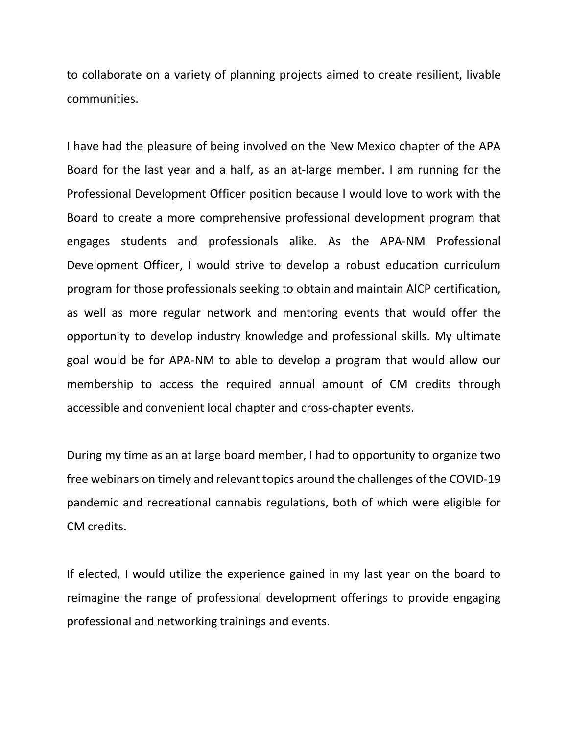to collaborate on a variety of planning projects aimed to create resilient, livable communities.

I have had the pleasure of being involved on the New Mexico chapter of the APA Board for the last year and a half, as an at-large member. I am running for the Professional Development Officer position because I would love to work with the Board to create a more comprehensive professional development program that engages students and professionals alike. As the APA-NM Professional Development Officer, I would strive to develop a robust education curriculum program for those professionals seeking to obtain and maintain AICP certification, as well as more regular network and mentoring events that would offer the opportunity to develop industry knowledge and professional skills. My ultimate goal would be for APA-NM to able to develop a program that would allow our membership to access the required annual amount of CM credits through accessible and convenient local chapter and cross-chapter events.

During my time as an at large board member, I had to opportunity to organize two free webinars on timely and relevant topics around the challenges of the COVID-19 pandemic and recreational cannabis regulations, both of which were eligible for CM credits.

If elected, I would utilize the experience gained in my last year on the board to reimagine the range of professional development offerings to provide engaging professional and networking trainings and events.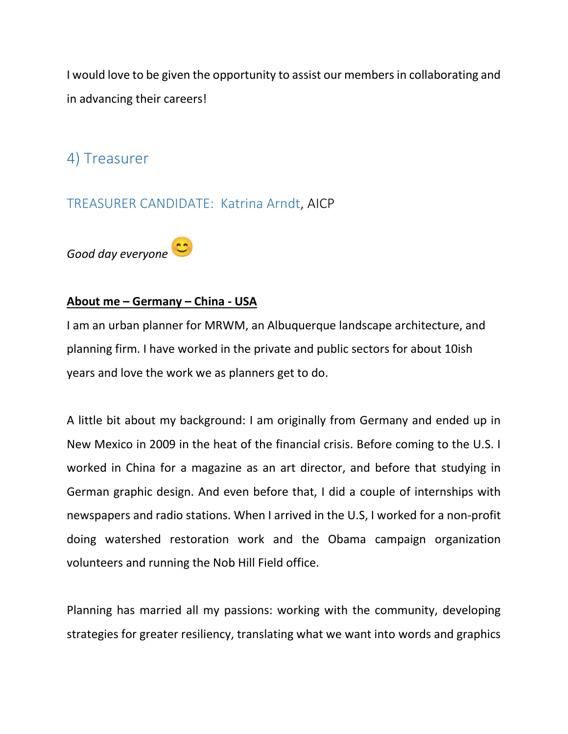I would love to be given the opportunity to assist our members in collaborating and in advancing their careers!

# 4) Treasurer

### TREASURER CANDIDATE: Katrina Arndt, AICP



#### **About me – Germany – China - USA**

I am an urban planner for MRWM, an Albuquerque landscape architecture, and planning firm. I have worked in the private and public sectors for about 10ish years and love the work we as planners get to do.

A little bit about my background: I am originally from Germany and ended up in New Mexico in 2009 in the heat of the financial crisis. Before coming to the U.S. I worked in China for a magazine as an art director, and before that studying in German graphic design. And even before that, I did a couple of internships with newspapers and radio stations. When I arrived in the U.S, I worked for a non-profit doing watershed restoration work and the Obama campaign organization volunteers and running the Nob Hill Field office.

Planning has married all my passions: working with the community, developing strategies for greater resiliency, translating what we want into words and graphics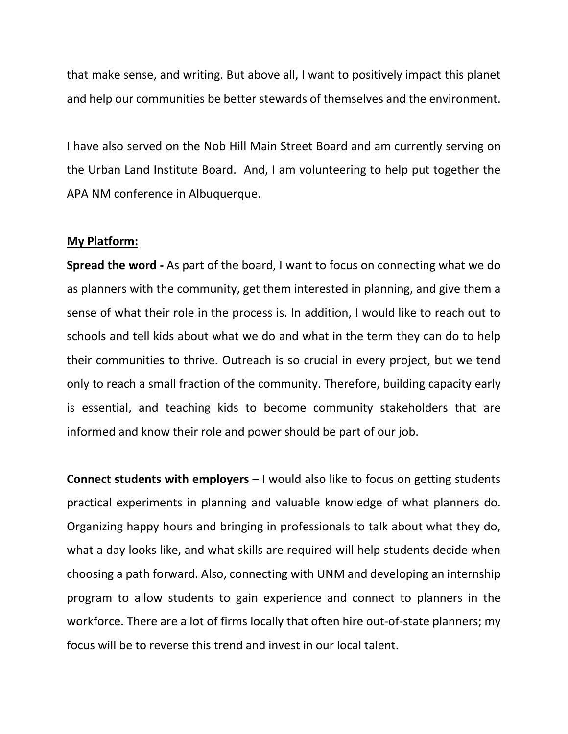that make sense, and writing. But above all, I want to positively impact this planet and help our communities be better stewards of themselves and the environment.

I have also served on the Nob Hill Main Street Board and am currently serving on the Urban Land Institute Board. And, I am volunteering to help put together the APA NM conference in Albuquerque.

#### **My Platform:**

**Spread the word -** As part of the board, I want to focus on connecting what we do as planners with the community, get them interested in planning, and give them a sense of what their role in the process is. In addition, I would like to reach out to schools and tell kids about what we do and what in the term they can do to help their communities to thrive. Outreach is so crucial in every project, but we tend only to reach a small fraction of the community. Therefore, building capacity early is essential, and teaching kids to become community stakeholders that are informed and know their role and power should be part of our job.

**Connect students with employers –** I would also like to focus on getting students practical experiments in planning and valuable knowledge of what planners do. Organizing happy hours and bringing in professionals to talk about what they do, what a day looks like, and what skills are required will help students decide when choosing a path forward. Also, connecting with UNM and developing an internship program to allow students to gain experience and connect to planners in the workforce. There are a lot of firms locally that often hire out-of-state planners; my focus will be to reverse this trend and invest in our local talent.